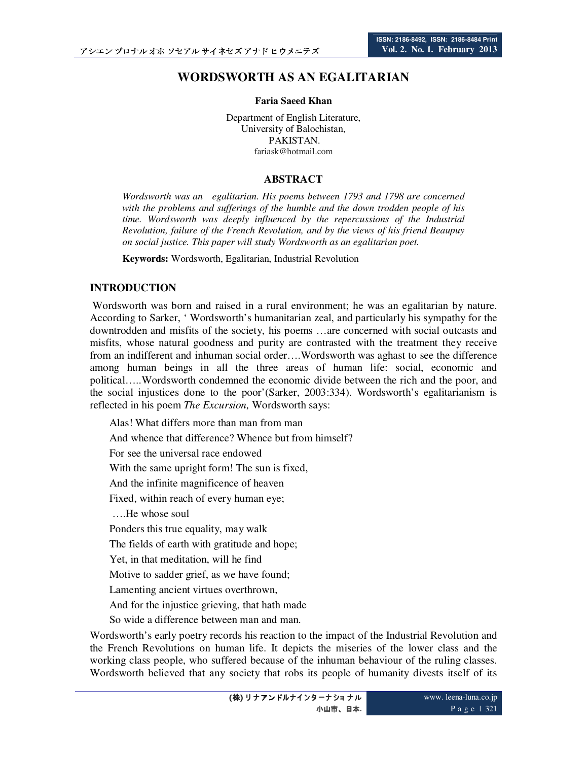# **WORDSWORTH AS AN EGALITARIAN**

#### **Faria Saeed Khan**

Department of English Literature, University of Balochistan, PAKISTAN. fariask@hotmail.com

#### **ABSTRACT**

*Wordsworth was an egalitarian. His poems between 1793 and 1798 are concerned with the problems and sufferings of the humble and the down trodden people of his time. Wordsworth was deeply influenced by the repercussions of the Industrial Revolution, failure of the French Revolution, and by the views of his friend Beaupuy on social justice. This paper will study Wordsworth as an egalitarian poet.* 

**Keywords:** Wordsworth, Egalitarian, Industrial Revolution

## **INTRODUCTION**

 Wordsworth was born and raised in a rural environment; he was an egalitarian by nature. According to Sarker, ' Wordsworth's humanitarian zeal, and particularly his sympathy for the downtrodden and misfits of the society, his poems …are concerned with social outcasts and misfits, whose natural goodness and purity are contrasted with the treatment they receive from an indifferent and inhuman social order….Wordsworth was aghast to see the difference among human beings in all the three areas of human life: social, economic and political…..Wordsworth condemned the economic divide between the rich and the poor, and the social injustices done to the poor'(Sarker, 2003:334). Wordsworth's egalitarianism is reflected in his poem *The Excursion,* Wordsworth says:

Alas! What differs more than man from man And whence that difference? Whence but from himself? For see the universal race endowed With the same upright form! The sun is fixed, And the infinite magnificence of heaven Fixed, within reach of every human eye; ….He whose soul Ponders this true equality, may walk The fields of earth with gratitude and hope; Yet, in that meditation, will he find Motive to sadder grief, as we have found; Lamenting ancient virtues overthrown, And for the injustice grieving, that hath made So wide a difference between man and man.

Wordsworth's early poetry records his reaction to the impact of the Industrial Revolution and the French Revolutions on human life. It depicts the miseries of the lower class and the working class people, who suffered because of the inhuman behaviour of the ruling classes. Wordsworth believed that any society that robs its people of humanity divests itself of its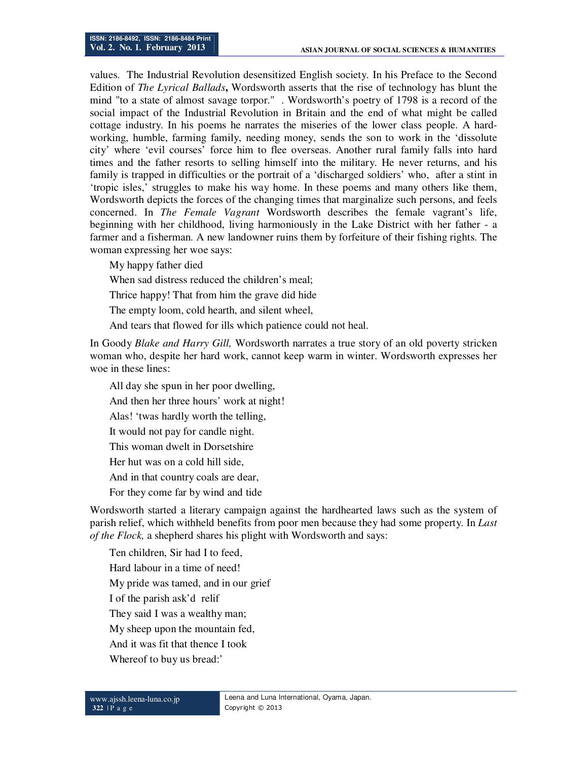values. The Industrial Revolution desensitized English society. In his Preface to the Second Edition of *The Lyrical Ballads***,** Wordsworth asserts that the rise of technology has blunt the mind "to a state of almost savage torpor." . Wordsworth's poetry of 1798 is a record of the social impact of the Industrial Revolution in Britain and the end of what might be called cottage industry. In his poems he narrates the miseries of the lower class people. A hardworking, humble, farming family, needing money, sends the son to work in the 'dissolute city' where 'evil courses' force him to flee overseas. Another rural family falls into hard times and the father resorts to selling himself into the military. He never returns, and his family is trapped in difficulties or the portrait of a 'discharged soldiers' who, after a stint in 'tropic isles,' struggles to make his way home. In these poems and many others like them, Wordsworth depicts the forces of the changing times that marginalize such persons, and feels concerned. In *The Female Vagrant* Wordsworth describes the female vagrant's life, beginning with her childhood, living harmoniously in the Lake District with her father - a farmer and a fisherman. A new landowner ruins them by forfeiture of their fishing rights. The woman expressing her woe says:

My happy father died

When sad distress reduced the children's meal;

Thrice happy! That from him the grave did hide

The empty loom, cold hearth, and silent wheel,

And tears that flowed for ills which patience could not heal.

In Goody *Blake and Harry Gill,* Wordsworth narrates a true story of an old poverty stricken woman who, despite her hard work, cannot keep warm in winter. Wordsworth expresses her woe in these lines:

All day she spun in her poor dwelling,

And then her three hours' work at night!

Alas! 'twas hardly worth the telling,

It would not pay for candle night.

This woman dwelt in Dorsetshire

Her hut was on a cold hill side,

- And in that country coals are dear,
- For they come far by wind and tide

Wordsworth started a literary campaign against the hardhearted laws such as the system of parish relief, which withheld benefits from poor men because they had some property. In *Last of the Flock,* a shepherd shares his plight with Wordsworth and says:

Ten children, Sir had I to feed, Hard labour in a time of need! My pride was tamed, and in our grief I of the parish ask'd relif They said I was a wealthy man; My sheep upon the mountain fed, And it was fit that thence I took Whereof to buy us bread:'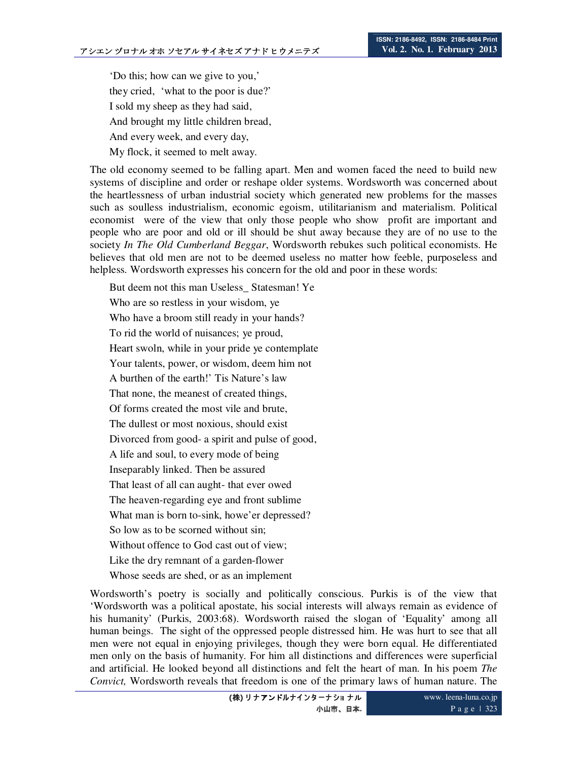'Do this; how can we give to you,' they cried, 'what to the poor is due?' I sold my sheep as they had said, And brought my little children bread, And every week, and every day, My flock, it seemed to melt away.

The old economy seemed to be falling apart. Men and women faced the need to build new systems of discipline and order or reshape older systems. Wordsworth was concerned about the heartlessness of urban industrial society which generated new problems for the masses such as soulless industrialism, economic egoism, utilitarianism and materialism. Political economist were of the view that only those people who show profit are important and people who are poor and old or ill should be shut away because they are of no use to the society *In The Old Cumberland Beggar*, Wordsworth rebukes such political economists. He believes that old men are not to be deemed useless no matter how feeble, purposeless and helpless. Wordsworth expresses his concern for the old and poor in these words:

But deem not this man Useless\_ Statesman! Ye Who are so restless in your wisdom, ye Who have a broom still ready in your hands? To rid the world of nuisances; ye proud, Heart swoln, while in your pride ye contemplate Your talents, power, or wisdom, deem him not A burthen of the earth!' Tis Nature's law That none, the meanest of created things, Of forms created the most vile and brute, The dullest or most noxious, should exist Divorced from good- a spirit and pulse of good, A life and soul, to every mode of being Inseparably linked. Then be assured That least of all can aught- that ever owed The heaven-regarding eye and front sublime What man is born to-sink, howe'er depressed? So low as to be scorned without sin; Without offence to God cast out of view; Like the dry remnant of a garden-flower

Whose seeds are shed, or as an implement

Wordsworth's poetry is socially and politically conscious. Purkis is of the view that 'Wordsworth was a political apostate, his social interests will always remain as evidence of his humanity' (Purkis, 2003:68). Wordsworth raised the slogan of 'Equality' among all human beings. The sight of the oppressed people distressed him. He was hurt to see that all men were not equal in enjoying privileges, though they were born equal. He differentiated men only on the basis of humanity. For him all distinctions and differences were superficial and artificial. He looked beyond all distinctions and felt the heart of man. In his poem *The Convict,* Wordsworth reveals that freedom is one of the primary laws of human nature. The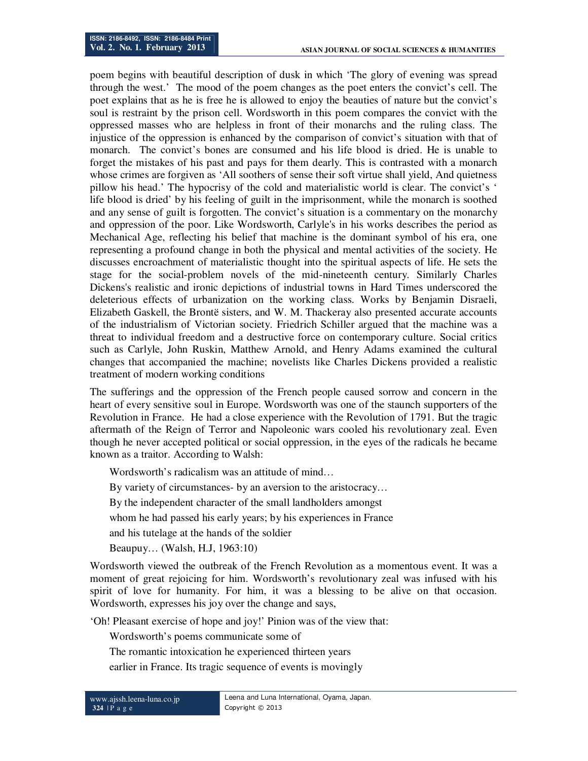poem begins with beautiful description of dusk in which 'The glory of evening was spread through the west.' The mood of the poem changes as the poet enters the convict's cell. The poet explains that as he is free he is allowed to enjoy the beauties of nature but the convict's soul is restraint by the prison cell. Wordsworth in this poem compares the convict with the oppressed masses who are helpless in front of their monarchs and the ruling class. The injustice of the oppression is enhanced by the comparison of convict's situation with that of monarch. The convict's bones are consumed and his life blood is dried. He is unable to forget the mistakes of his past and pays for them dearly. This is contrasted with a monarch whose crimes are forgiven as 'All soothers of sense their soft virtue shall yield, And quietness pillow his head.' The hypocrisy of the cold and materialistic world is clear. The convict's ' life blood is dried' by his feeling of guilt in the imprisonment, while the monarch is soothed and any sense of guilt is forgotten. The convict's situation is a commentary on the monarchy and oppression of the poor. Like Wordsworth, Carlyle's in his works describes the period as Mechanical Age, reflecting his belief that machine is the dominant symbol of his era, one representing a profound change in both the physical and mental activities of the society. He discusses encroachment of materialistic thought into the spiritual aspects of life. He sets the stage for the social-problem novels of the mid-nineteenth century. Similarly Charles Dickens's realistic and ironic depictions of industrial towns in Hard Times underscored the deleterious effects of urbanization on the working class. Works by Benjamin Disraeli, Elizabeth Gaskell, the Brontë sisters, and W. M. Thackeray also presented accurate accounts of the industrialism of Victorian society. Friedrich Schiller argued that the machine was a threat to individual freedom and a destructive force on contemporary culture. Social critics such as Carlyle, John Ruskin, Matthew Arnold, and Henry Adams examined the cultural changes that accompanied the machine; novelists like Charles Dickens provided a realistic treatment of modern working conditions

The sufferings and the oppression of the French people caused sorrow and concern in the heart of every sensitive soul in Europe. Wordsworth was one of the staunch supporters of the Revolution in France. He had a close experience with the Revolution of 1791. But the tragic aftermath of the Reign of Terror and Napoleonic wars cooled his revolutionary zeal. Even though he never accepted political or social oppression, in the eyes of the radicals he became known as a traitor. According to Walsh:

Wordsworth's radicalism was an attitude of mind…

By variety of circumstances- by an aversion to the aristocracy...

By the independent character of the small landholders amongst

whom he had passed his early years; by his experiences in France

and his tutelage at the hands of the soldier

Beaupuy… (Walsh, H.J, 1963:10)

Wordsworth viewed the outbreak of the French Revolution as a momentous event. It was a moment of great rejoicing for him. Wordsworth's revolutionary zeal was infused with his spirit of love for humanity. For him, it was a blessing to be alive on that occasion. Wordsworth, expresses his joy over the change and says,

'Oh! Pleasant exercise of hope and joy!' Pinion was of the view that:

Wordsworth's poems communicate some of

The romantic intoxication he experienced thirteen years

earlier in France. Its tragic sequence of events is movingly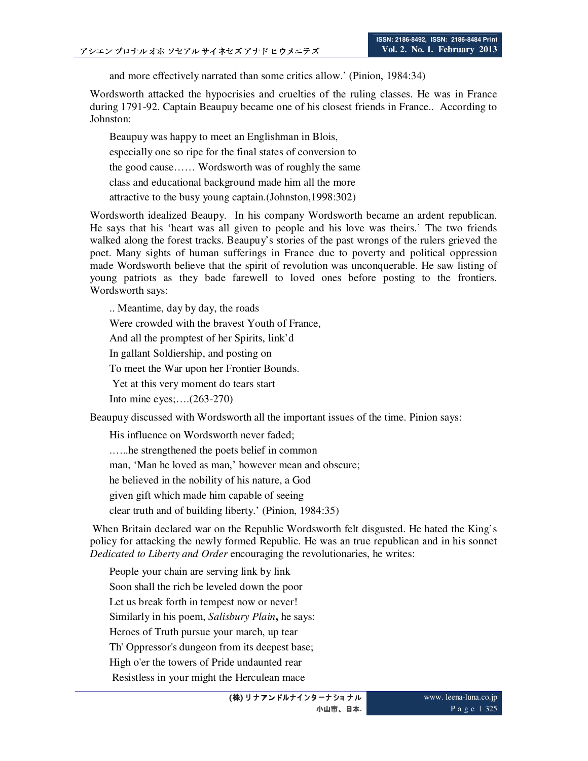and more effectively narrated than some critics allow.' (Pinion, 1984:34)

Wordsworth attacked the hypocrisies and cruelties of the ruling classes. He was in France during 1791-92. Captain Beaupuy became one of his closest friends in France.. According to Johnston:

Beaupuy was happy to meet an Englishman in Blois, especially one so ripe for the final states of conversion to the good cause…… Wordsworth was of roughly the same class and educational background made him all the more attractive to the busy young captain.(Johnston,1998:302)

Wordsworth idealized Beaupy. In his company Wordsworth became an ardent republican. He says that his 'heart was all given to people and his love was theirs.' The two friends walked along the forest tracks. Beaupuy's stories of the past wrongs of the rulers grieved the poet. Many sights of human sufferings in France due to poverty and political oppression made Wordsworth believe that the spirit of revolution was unconquerable. He saw listing of young patriots as they bade farewell to loved ones before posting to the frontiers. Wordsworth says:

.. Meantime, day by day, the roads

Were crowded with the bravest Youth of France,

And all the promptest of her Spirits, link'd

In gallant Soldiership, and posting on

To meet the War upon her Frontier Bounds.

Yet at this very moment do tears start

Into mine eyes;….(263-270)

Beaupuy discussed with Wordsworth all the important issues of the time. Pinion says:

His influence on Wordsworth never faded;

.…..he strengthened the poets belief in common

man, 'Man he loved as man,' however mean and obscure;

he believed in the nobility of his nature, a God

given gift which made him capable of seeing

clear truth and of building liberty.' (Pinion, 1984:35)

 When Britain declared war on the Republic Wordsworth felt disgusted. He hated the King's policy for attacking the newly formed Republic. He was an true republican and in his sonnet *Dedicated to Liberty and Order* encouraging the revolutionaries, he writes:

People your chain are serving link by link

Soon shall the rich be leveled down the poor

Let us break forth in tempest now or never!

Similarly in his poem, *Salisbury Plain***,** he says:

Heroes of Truth pursue your march, up tear

Th' Oppressor's dungeon from its deepest base;

High o'er the towers of Pride undaunted rear

Resistless in your might the Herculean mace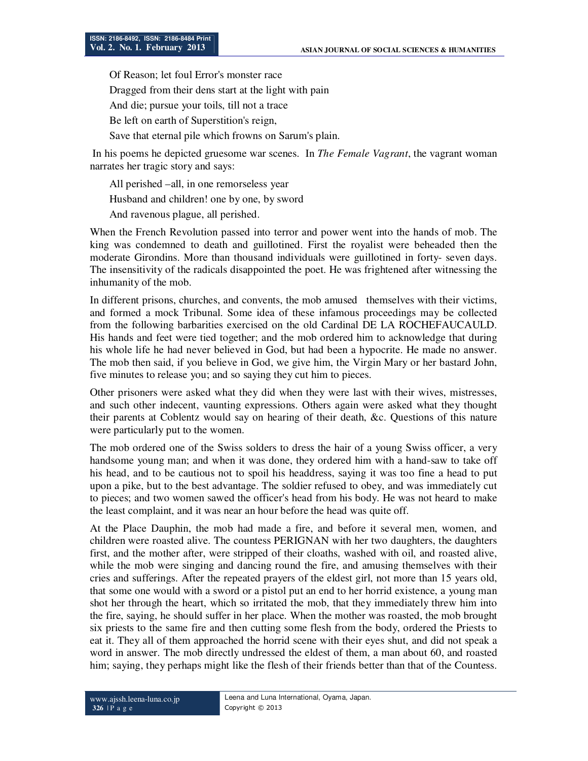Of Reason; let foul Error's monster race

Dragged from their dens start at the light with pain

And die; pursue your toils, till not a trace

Be left on earth of Superstition's reign,

Save that eternal pile which frowns on Sarum's plain.

 In his poems he depicted gruesome war scenes. In *The Female Vagrant*, the vagrant woman narrates her tragic story and says:

All perished –all, in one remorseless year

Husband and children! one by one, by sword

And ravenous plague, all perished.

When the French Revolution passed into terror and power went into the hands of mob. The king was condemned to death and guillotined. First the royalist were beheaded then the moderate Girondins. More than thousand individuals were guillotined in forty- seven days. The insensitivity of the radicals disappointed the poet. He was frightened after witnessing the inhumanity of the mob.

In different prisons, churches, and convents, the mob amused themselves with their victims, and formed a mock Tribunal. Some idea of these infamous proceedings may be collected from the following barbarities exercised on the old Cardinal DE LA ROCHEFAUCAULD. His hands and feet were tied together; and the mob ordered him to acknowledge that during his whole life he had never believed in God, but had been a hypocrite. He made no answer. The mob then said, if you believe in God, we give him, the Virgin Mary or her bastard John, five minutes to release you; and so saying they cut him to pieces.

Other prisoners were asked what they did when they were last with their wives, mistresses, and such other indecent, vaunting expressions. Others again were asked what they thought their parents at Coblentz would say on hearing of their death, &c. Questions of this nature were particularly put to the women.

The mob ordered one of the Swiss solders to dress the hair of a young Swiss officer, a very handsome young man; and when it was done, they ordered him with a hand-saw to take off his head, and to be cautious not to spoil his headdress, saying it was too fine a head to put upon a pike, but to the best advantage. The soldier refused to obey, and was immediately cut to pieces; and two women sawed the officer's head from his body. He was not heard to make the least complaint, and it was near an hour before the head was quite off.

At the Place Dauphin, the mob had made a fire, and before it several men, women, and children were roasted alive. The countess PERIGNAN with her two daughters, the daughters first, and the mother after, were stripped of their cloaths, washed with oil, and roasted alive, while the mob were singing and dancing round the fire, and amusing themselves with their cries and sufferings. After the repeated prayers of the eldest girl, not more than 15 years old, that some one would with a sword or a pistol put an end to her horrid existence, a young man shot her through the heart, which so irritated the mob, that they immediately threw him into the fire, saying, he should suffer in her place. When the mother was roasted, the mob brought six priests to the same fire and then cutting some flesh from the body, ordered the Priests to eat it. They all of them approached the horrid scene with their eyes shut, and did not speak a word in answer. The mob directly undressed the eldest of them, a man about 60, and roasted him; saying, they perhaps might like the flesh of their friends better than that of the Countess.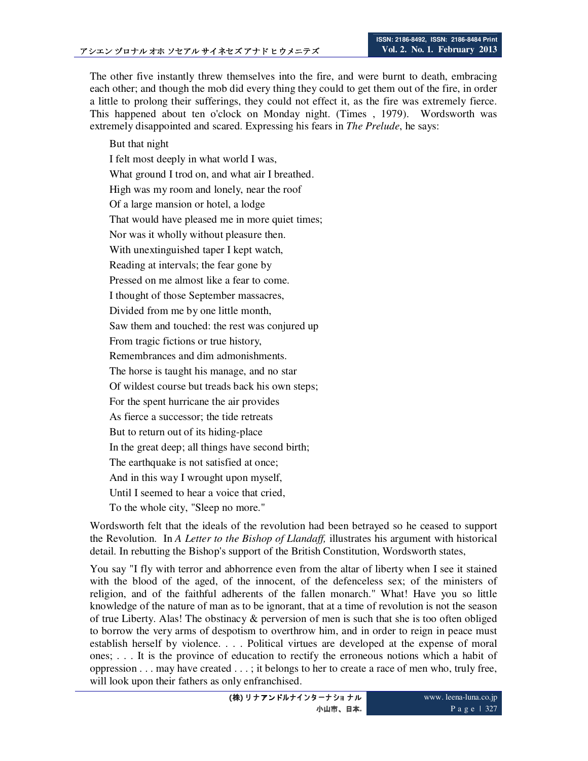The other five instantly threw themselves into the fire, and were burnt to death, embracing each other; and though the mob did every thing they could to get them out of the fire, in order a little to prolong their sufferings, they could not effect it, as the fire was extremely fierce. This happened about ten o'clock on Monday night. (Times , 1979). Wordsworth was extremely disappointed and scared. Expressing his fears in *The Prelude*, he says:

But that night I felt most deeply in what world I was, What ground I trod on, and what air I breathed. High was my room and lonely, near the roof Of a large mansion or hotel, a lodge That would have pleased me in more quiet times; Nor was it wholly without pleasure then. With unextinguished taper I kept watch, Reading at intervals; the fear gone by Pressed on me almost like a fear to come. I thought of those September massacres, Divided from me by one little month, Saw them and touched: the rest was conjured up From tragic fictions or true history, Remembrances and dim admonishments. The horse is taught his manage, and no star Of wildest course but treads back his own steps; For the spent hurricane the air provides As fierce a successor; the tide retreats But to return out of its hiding-place In the great deep; all things have second birth; The earthquake is not satisfied at once; And in this way I wrought upon myself, Until I seemed to hear a voice that cried, To the whole city, "Sleep no more."

Wordsworth felt that the ideals of the revolution had been betrayed so he ceased to support the Revolution. In *A Letter to the Bishop of Llandaff,* illustrates his argument with historical detail. In rebutting the Bishop's support of the British Constitution, Wordsworth states,

You say "I fly with terror and abhorrence even from the altar of liberty when I see it stained with the blood of the aged, of the innocent, of the defenceless sex; of the ministers of religion, and of the faithful adherents of the fallen monarch." What! Have you so little knowledge of the nature of man as to be ignorant, that at a time of revolution is not the season of true Liberty. Alas! The obstinacy & perversion of men is such that she is too often obliged to borrow the very arms of despotism to overthrow him, and in order to reign in peace must establish herself by violence. . . . Political virtues are developed at the expense of moral ones; . . . It is the province of education to rectify the erroneous notions which a habit of oppression . . . may have created . . . ; it belongs to her to create a race of men who, truly free, will look upon their fathers as only enfranchised.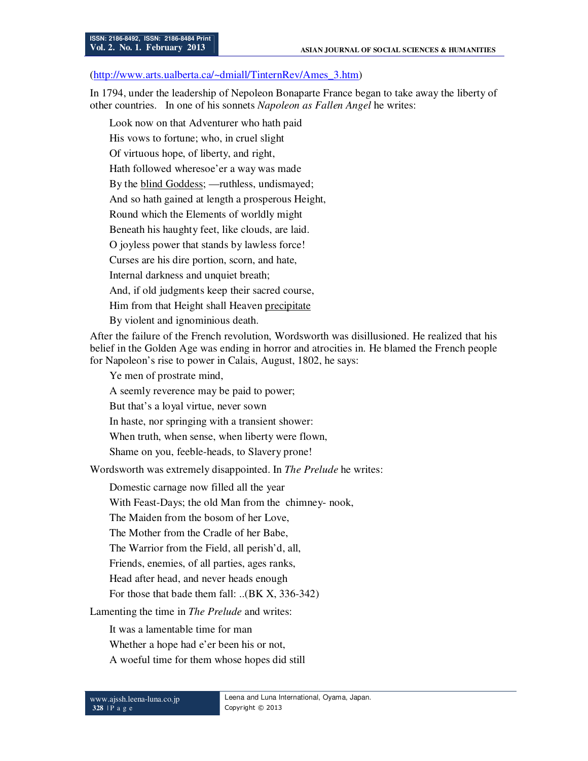#### (http://www.arts.ualberta.ca/~dmiall/TinternRev/Ames\_3.htm)

In 1794, under the leadership of Nepoleon Bonaparte France began to take away the liberty of other countries. In one of his sonnets *Napoleon as Fallen Angel* he writes:

Look now on that Adventurer who hath paid

His vows to fortune; who, in cruel slight

Of virtuous hope, of liberty, and right,

Hath followed wheresoe'er a way was made

By the blind Goddess; —ruthless, undismayed;

And so hath gained at length a prosperous Height,

Round which the Elements of worldly might

Beneath his haughty feet, like clouds, are laid.

O joyless power that stands by lawless force!

Curses are his dire portion, scorn, and hate,

Internal darkness and unquiet breath;

And, if old judgments keep their sacred course,

Him from that Height shall Heaven precipitate

By violent and ignominious death.

After the failure of the French revolution, Wordsworth was disillusioned. He realized that his belief in the Golden Age was ending in horror and atrocities in. He blamed the French people for Napoleon's rise to power in Calais, August, 1802, he says:

Ye men of prostrate mind,

A seemly reverence may be paid to power;

But that's a loyal virtue, never sown

In haste, nor springing with a transient shower:

When truth, when sense, when liberty were flown,

Shame on you, feeble-heads, to Slavery prone!

Wordsworth was extremely disappointed. In *The Prelude* he writes:

Domestic carnage now filled all the year

With Feast-Days; the old Man from the chimney- nook,

The Maiden from the bosom of her Love,

The Mother from the Cradle of her Babe,

The Warrior from the Field, all perish'd, all,

Friends, enemies, of all parties, ages ranks,

Head after head, and never heads enough

For those that bade them fall: ..(BK X, 336-342)

Lamenting the time in *The Prelude* and writes:

It was a lamentable time for man

Whether a hope had e'er been his or not,

A woeful time for them whose hopes did still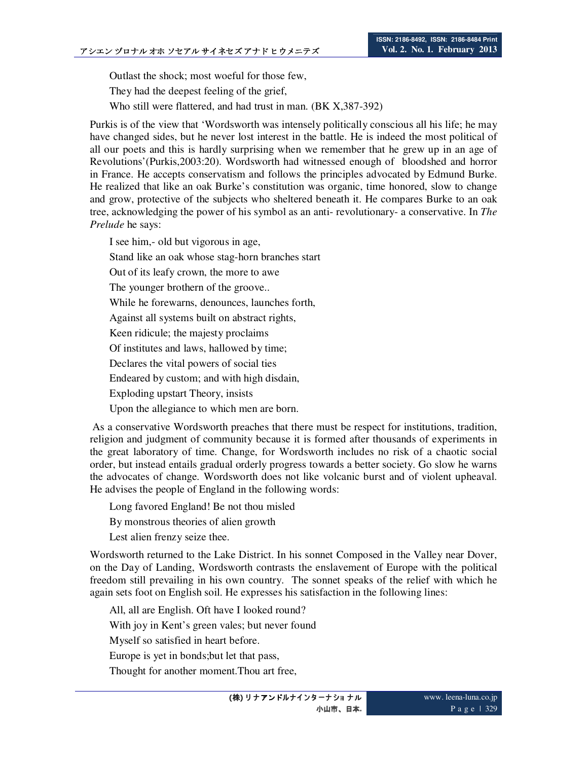Outlast the shock; most woeful for those few,

They had the deepest feeling of the grief,

Who still were flattered, and had trust in man. (BK X,387-392)

Purkis is of the view that 'Wordsworth was intensely politically conscious all his life; he may have changed sides, but he never lost interest in the battle. He is indeed the most political of all our poets and this is hardly surprising when we remember that he grew up in an age of Revolutions'(Purkis,2003:20). Wordsworth had witnessed enough of bloodshed and horror in France. He accepts conservatism and follows the principles advocated by Edmund Burke. He realized that like an oak Burke's constitution was organic, time honored, slow to change and grow, protective of the subjects who sheltered beneath it. He compares Burke to an oak tree, acknowledging the power of his symbol as an anti- revolutionary- a conservative. In *The Prelude* he says:

I see him,- old but vigorous in age,

Stand like an oak whose stag-horn branches start

Out of its leafy crown, the more to awe

The younger brothern of the groove..

While he forewarns, denounces, launches forth,

Against all systems built on abstract rights,

Keen ridicule; the majesty proclaims

Of institutes and laws, hallowed by time;

Declares the vital powers of social ties

Endeared by custom; and with high disdain,

Exploding upstart Theory, insists

Upon the allegiance to which men are born.

 As a conservative Wordsworth preaches that there must be respect for institutions, tradition, religion and judgment of community because it is formed after thousands of experiments in the great laboratory of time. Change, for Wordsworth includes no risk of a chaotic social order, but instead entails gradual orderly progress towards a better society. Go slow he warns the advocates of change. Wordsworth does not like volcanic burst and of violent upheaval. He advises the people of England in the following words:

Long favored England! Be not thou misled

By monstrous theories of alien growth

Lest alien frenzy seize thee.

Wordsworth returned to the Lake District. In his sonnet Composed in the Valley near Dover, on the Day of Landing, Wordsworth contrasts the enslavement of Europe with the political freedom still prevailing in his own country. The sonnet speaks of the relief with which he again sets foot on English soil. He expresses his satisfaction in the following lines:

All, all are English. Oft have I looked round? With joy in Kent's green vales; but never found Myself so satisfied in heart before. Europe is yet in bonds;but let that pass, Thought for another moment.Thou art free,